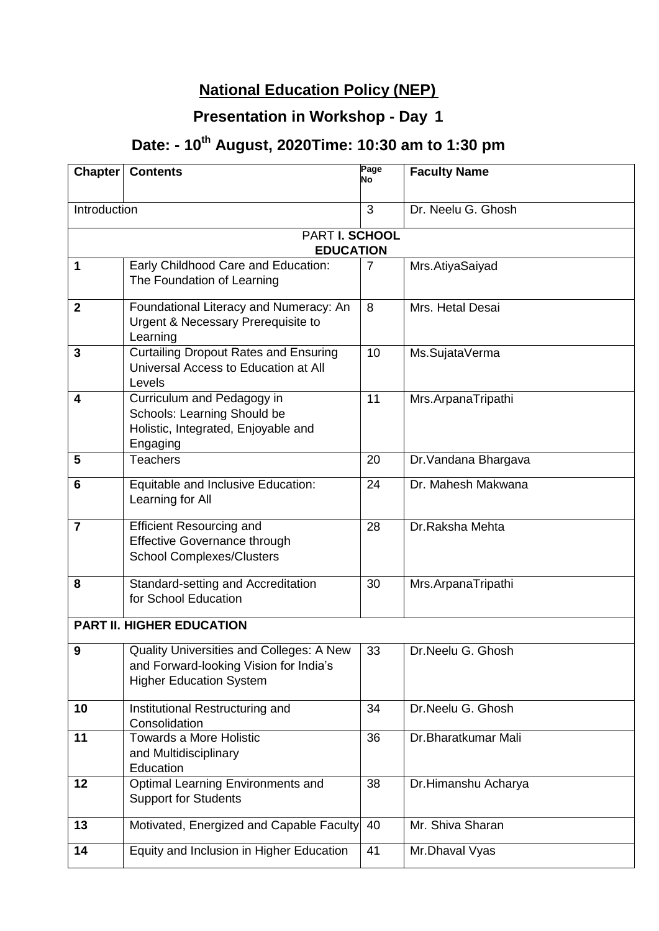### **National Education Policy (NEP)**

#### **2020) Presentation in Workshop - Day <sup>1</sup>**

## **Date: - 10th August, 2020Time: 10:30 am to 1:30 pm**

| <b>Chapter</b>                            | <b>Contents</b>                                                                                                      | Page<br>No | <b>Faculty Name</b>  |  |  |
|-------------------------------------------|----------------------------------------------------------------------------------------------------------------------|------------|----------------------|--|--|
| Introduction                              |                                                                                                                      | 3          | Dr. Neelu G. Ghosh   |  |  |
|                                           |                                                                                                                      |            |                      |  |  |
| <b>PART I. SCHOOL</b><br><b>EDUCATION</b> |                                                                                                                      |            |                      |  |  |
| 1                                         | Early Childhood Care and Education:<br>The Foundation of Learning                                                    | 7          | Mrs.AtiyaSaiyad      |  |  |
| $\boldsymbol{2}$                          | Foundational Literacy and Numeracy: An<br>Urgent & Necessary Prerequisite to<br>Learning                             | 8          | Mrs. Hetal Desai     |  |  |
| $\overline{3}$                            | <b>Curtailing Dropout Rates and Ensuring</b><br>Universal Access to Education at All<br>Levels                       | 10         | Ms.SujataVerma       |  |  |
| 4                                         | Curriculum and Pedagogy in<br>Schools: Learning Should be<br>Holistic, Integrated, Enjoyable and<br>Engaging         | 11         | Mrs.ArpanaTripathi   |  |  |
| 5                                         | <b>Teachers</b>                                                                                                      | 20         | Dr. Vandana Bhargava |  |  |
| 6                                         | Equitable and Inclusive Education:<br>Learning for All                                                               | 24         | Dr. Mahesh Makwana   |  |  |
| $\overline{7}$                            | <b>Efficient Resourcing and</b><br><b>Effective Governance through</b><br><b>School Complexes/Clusters</b>           | 28         | Dr.Raksha Mehta      |  |  |
| 8                                         | Standard-setting and Accreditation<br>for School Education                                                           | 30         | Mrs.ArpanaTripathi   |  |  |
| <b>PART II. HIGHER EDUCATION</b>          |                                                                                                                      |            |                      |  |  |
| 9                                         | Quality Universities and Colleges: A New<br>and Forward-looking Vision for India's<br><b>Higher Education System</b> | 33         | Dr.Neelu G. Ghosh    |  |  |
| 10                                        | Institutional Restructuring and<br>Consolidation                                                                     | 34         | Dr.Neelu G. Ghosh    |  |  |
| 11                                        | <b>Towards a More Holistic</b><br>and Multidisciplinary<br>Education                                                 | 36         | Dr.Bharatkumar Mali  |  |  |
| 12                                        | <b>Optimal Learning Environments and</b><br><b>Support for Students</b>                                              | 38         | Dr.Himanshu Acharya  |  |  |
| 13                                        | Motivated, Energized and Capable Faculty                                                                             | 40         | Mr. Shiva Sharan     |  |  |
| 14                                        | Equity and Inclusion in Higher Education                                                                             | 41         | Mr.Dhaval Vyas       |  |  |